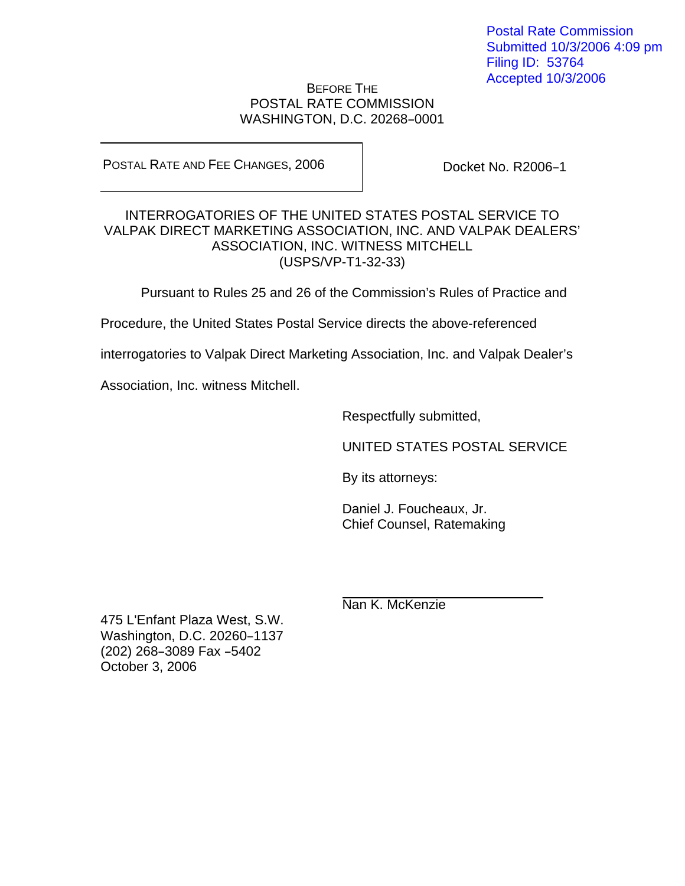Postal Rate Commission Submitted 10/3/2006 4:09 pm Filing ID: 53764 Accepted 10/3/2006

## BEFORE THE POSTAL RATE COMMISSION WASHINGTON, D.C. 20268-0001

POSTAL RATE AND FEE CHANGES, 2006

Docket No. R2006-1

## INTERROGATORIES OF THE UNITED STATES POSTAL SERVICE TO VALPAK DIRECT MARKETING ASSOCIATION, INC. AND VALPAK DEALERS' ASSOCIATION, INC. WITNESS MITCHELL (USPS/VP-T1-32-33)

Pursuant to Rules 25 and 26 of the Commission's Rules of Practice and

Procedure, the United States Postal Service directs the above-referenced

interrogatories to Valpak Direct Marketing Association, Inc. and Valpak Dealer's

Association, Inc. witness Mitchell.

Respectfully submitted,

UNITED STATES POSTAL SERVICE

By its attorneys:

Daniel J. Foucheaux, Jr. Chief Counsel, Ratemaking

Nan K. McKenzie

475 L'Enfant Plaza West, S.W. Washington, D.C. 20260-1137 (202) 268-3089 Fax -5402 October 3, 2006